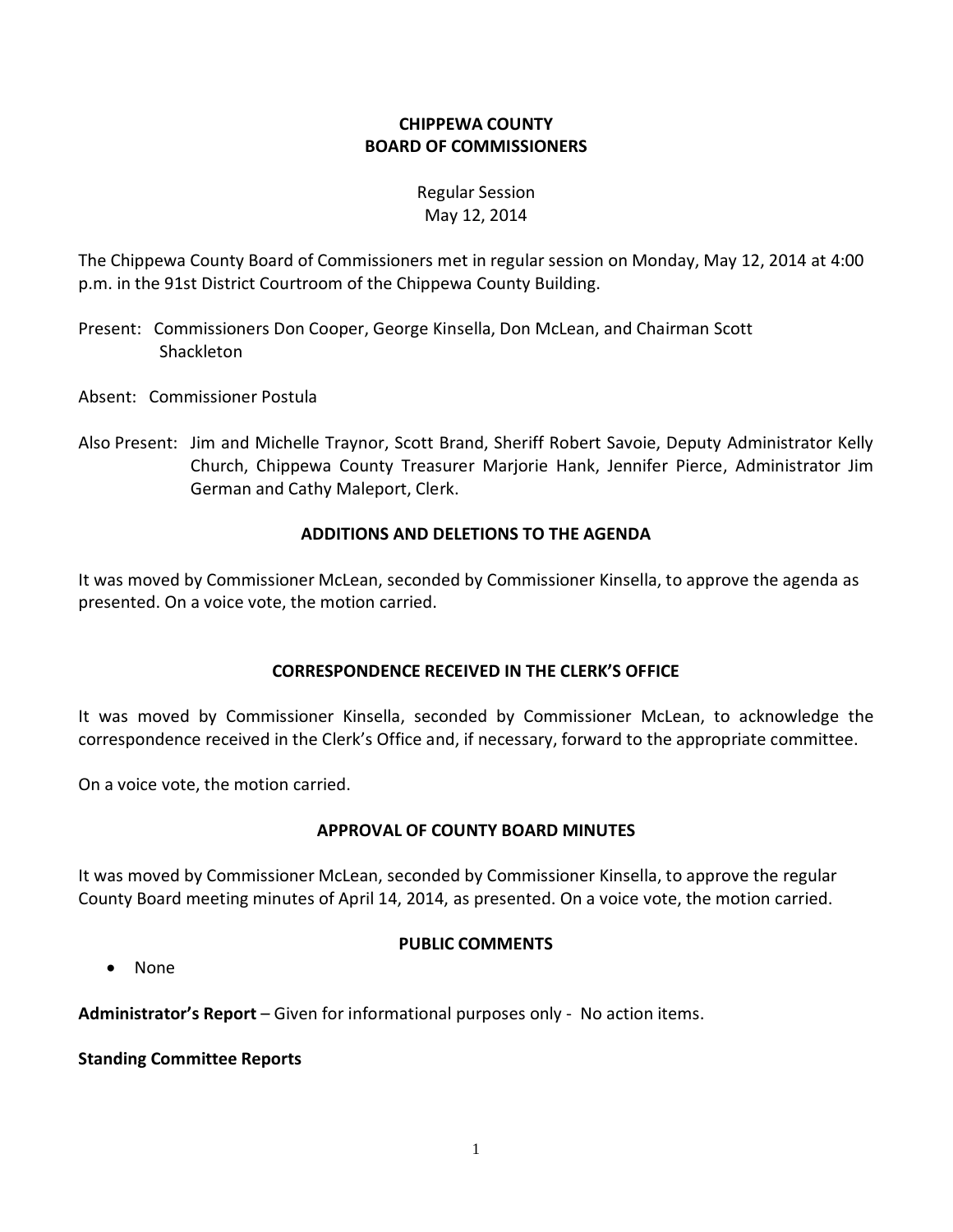# **CHIPPEWA COUNTY BOARD OF COMMISSIONERS**

# Regular Session May 12, 2014

The Chippewa County Board of Commissioners met in regular session on Monday, May 12, 2014 at 4:00 p.m. in the 91st District Courtroom of the Chippewa County Building.

- Present: Commissioners Don Cooper, George Kinsella, Don McLean, and Chairman Scott Shackleton
- Absent: Commissioner Postula
- Also Present: Jim and Michelle Traynor, Scott Brand, Sheriff Robert Savoie, Deputy Administrator Kelly Church, Chippewa County Treasurer Marjorie Hank, Jennifer Pierce, Administrator Jim German and Cathy Maleport, Clerk.

# **ADDITIONS AND DELETIONS TO THE AGENDA**

It was moved by Commissioner McLean, seconded by Commissioner Kinsella, to approve the agenda as presented. On a voice vote, the motion carried.

# **CORRESPONDENCE RECEIVED IN THE CLERK'S OFFICE**

It was moved by Commissioner Kinsella, seconded by Commissioner McLean, to acknowledge the correspondence received in the Clerk's Office and, if necessary, forward to the appropriate committee.

On a voice vote, the motion carried.

# **APPROVAL OF COUNTY BOARD MINUTES**

It was moved by Commissioner McLean, seconded by Commissioner Kinsella, to approve the regular County Board meeting minutes of April 14, 2014, as presented. On a voice vote, the motion carried.

#### **PUBLIC COMMENTS**

· None

**Administrator's Report** – Given for informational purposes only - No action items.

**Standing Committee Reports**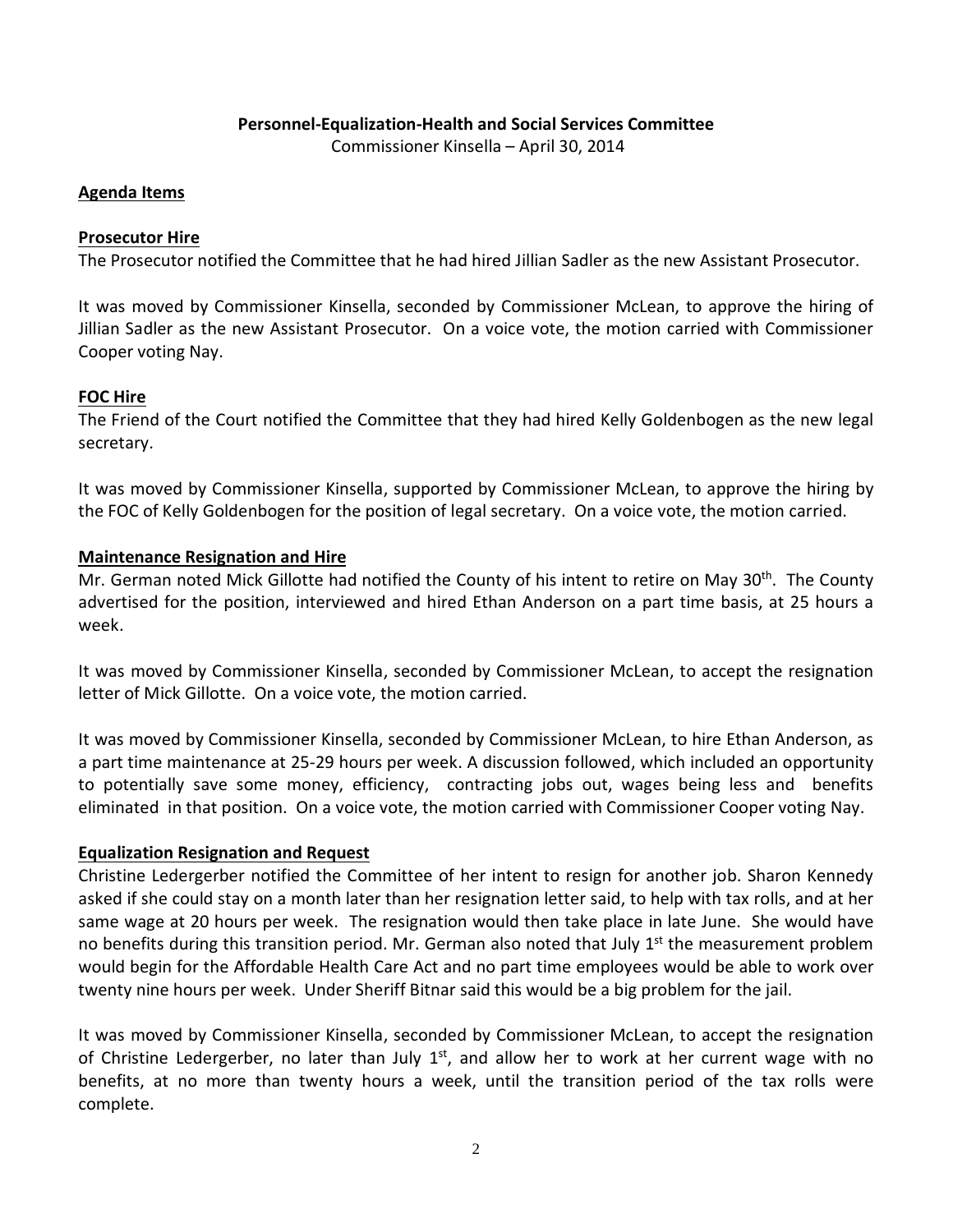#### **Personnel-Equalization-Health and Social Services Committee**

Commissioner Kinsella – April 30, 2014

#### **Agenda Items**

#### **Prosecutor Hire**

The Prosecutor notified the Committee that he had hired Jillian Sadler as the new Assistant Prosecutor.

It was moved by Commissioner Kinsella, seconded by Commissioner McLean, to approve the hiring of Jillian Sadler as the new Assistant Prosecutor. On a voice vote, the motion carried with Commissioner Cooper voting Nay.

#### **FOC Hire**

The Friend of the Court notified the Committee that they had hired Kelly Goldenbogen as the new legal secretary.

It was moved by Commissioner Kinsella, supported by Commissioner McLean, to approve the hiring by the FOC of Kelly Goldenbogen for the position of legal secretary. On a voice vote, the motion carried.

#### **Maintenance Resignation and Hire**

Mr. German noted Mick Gillotte had notified the County of his intent to retire on May 30<sup>th</sup>. The County advertised for the position, interviewed and hired Ethan Anderson on a part time basis, at 25 hours a week.

It was moved by Commissioner Kinsella, seconded by Commissioner McLean, to accept the resignation letter of Mick Gillotte. On a voice vote, the motion carried.

It was moved by Commissioner Kinsella, seconded by Commissioner McLean, to hire Ethan Anderson, as a part time maintenance at 25-29 hours per week. A discussion followed, which included an opportunity to potentially save some money, efficiency, contracting jobs out, wages being less and benefits eliminated in that position. On a voice vote, the motion carried with Commissioner Cooper voting Nay.

#### **Equalization Resignation and Request**

Christine Ledergerber notified the Committee of her intent to resign for another job. Sharon Kennedy asked if she could stay on a month later than her resignation letter said, to help with tax rolls, and at her same wage at 20 hours per week. The resignation would then take place in late June. She would have no benefits during this transition period. Mr. German also noted that July  $1<sup>st</sup>$  the measurement problem would begin for the Affordable Health Care Act and no part time employees would be able to work over twenty nine hours per week. Under Sheriff Bitnar said this would be a big problem for the jail.

It was moved by Commissioner Kinsella, seconded by Commissioner McLean, to accept the resignation of Christine Ledergerber, no later than July  $1<sup>st</sup>$ , and allow her to work at her current wage with no benefits, at no more than twenty hours a week, until the transition period of the tax rolls were complete.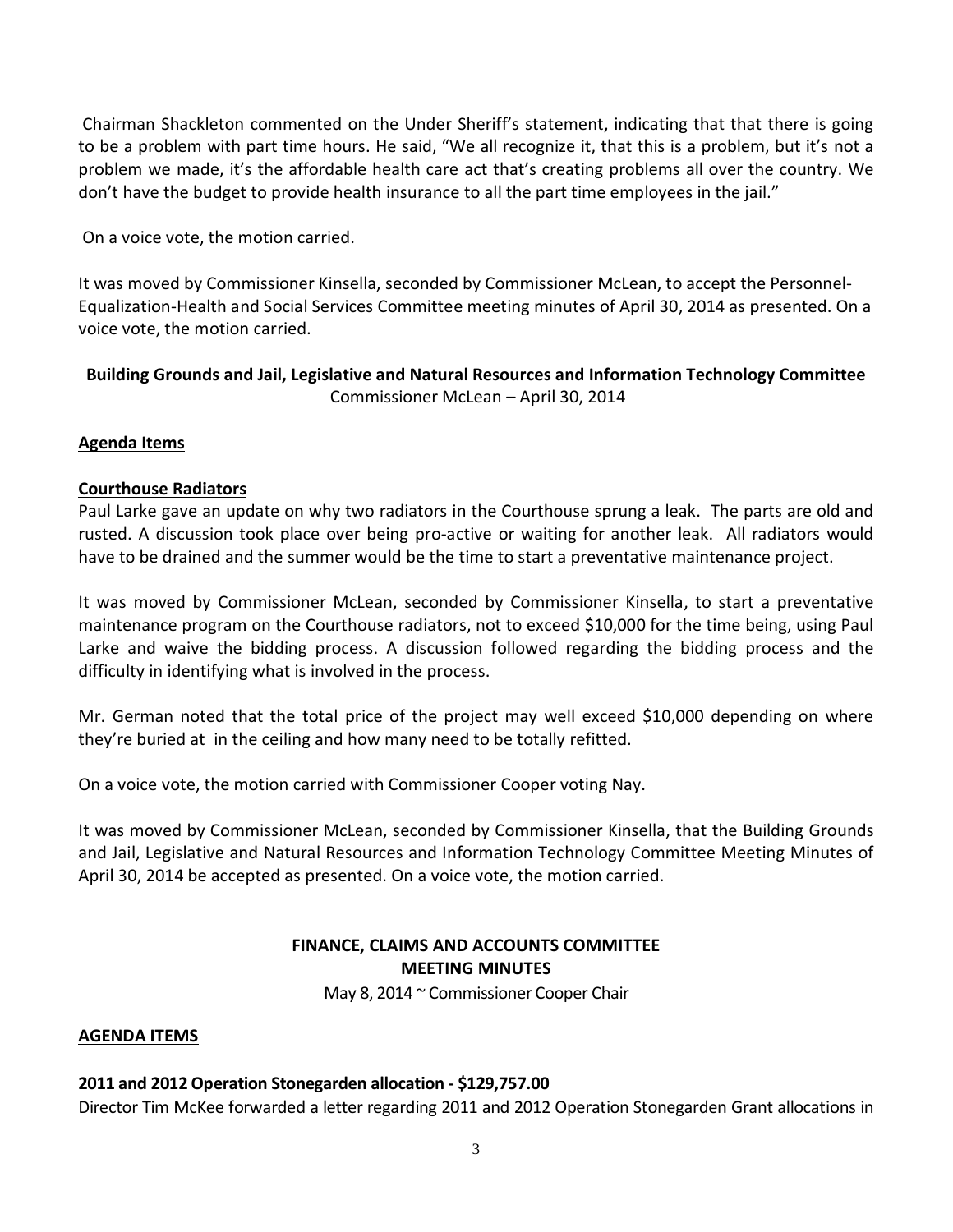Chairman Shackleton commented on the Under Sheriff's statement, indicating that that there is going to be a problem with part time hours. He said, "We all recognize it, that this is a problem, but it's not a problem we made, it's the affordable health care act that's creating problems all over the country. We don't have the budget to provide health insurance to all the part time employees in the jail."

On a voice vote, the motion carried.

It was moved by Commissioner Kinsella, seconded by Commissioner McLean, to accept the Personnel-Equalization-Health and Social Services Committee meeting minutes of April 30, 2014 as presented. On a voice vote, the motion carried.

# **Building Grounds and Jail, Legislative and Natural Resources and Information Technology Committee** Commissioner McLean – April 30, 2014

### **Agenda Items**

### **Courthouse Radiators**

Paul Larke gave an update on why two radiators in the Courthouse sprung a leak. The parts are old and rusted. A discussion took place over being pro-active or waiting for another leak. All radiators would have to be drained and the summer would be the time to start a preventative maintenance project.

It was moved by Commissioner McLean, seconded by Commissioner Kinsella, to start a preventative maintenance program on the Courthouse radiators, not to exceed \$10,000 for the time being, using Paul Larke and waive the bidding process. A discussion followed regarding the bidding process and the difficulty in identifying what is involved in the process.

Mr. German noted that the total price of the project may well exceed \$10,000 depending on where they're buried at in the ceiling and how many need to be totally refitted.

On a voice vote, the motion carried with Commissioner Cooper voting Nay.

It was moved by Commissioner McLean, seconded by Commissioner Kinsella, that the Building Grounds and Jail, Legislative and Natural Resources and Information Technology Committee Meeting Minutes of April 30, 2014 be accepted as presented. On a voice vote, the motion carried.

# **FINANCE, CLAIMS AND ACCOUNTS COMMITTEE MEETING MINUTES**

May 8, 2014 ~ Commissioner Cooper Chair

#### **AGENDA ITEMS**

# **2011 and 2012 Operation Stonegarden allocation - \$129,757.00**

Director Tim McKee forwarded a letter regarding 2011 and 2012 Operation Stonegarden Grant allocations in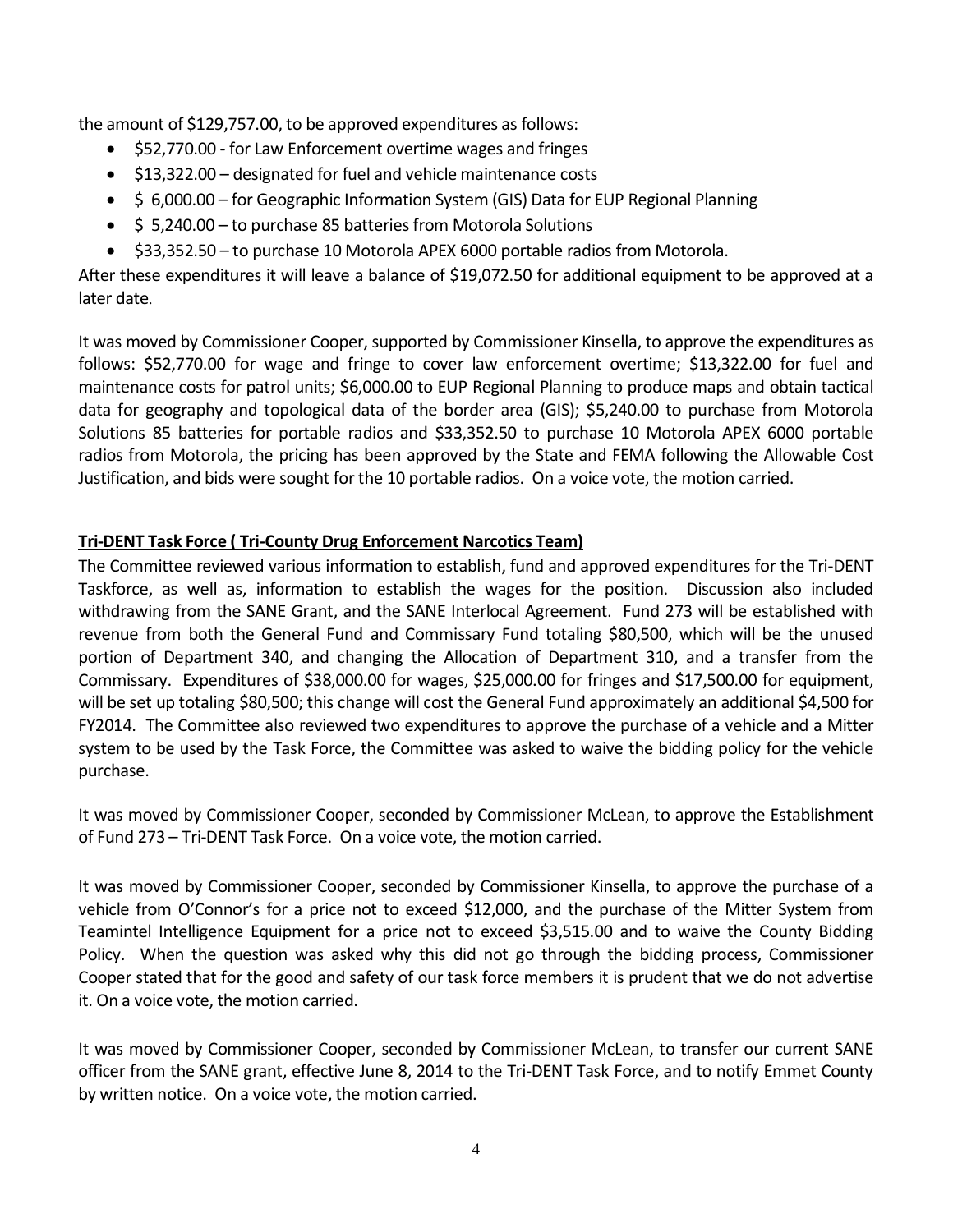the amount of \$129,757.00, to be approved expenditures as follows:

- · \$52,770.00 for Law Enforcement overtime wages and fringes
- · \$13,322.00 designated for fuel and vehicle maintenance costs
- \$ 6,000.00 for Geographic Information System (GIS) Data for EUP Regional Planning
- · \$ 5,240.00 to purchase 85 batteries from Motorola Solutions
- · \$33,352.50 to purchase 10 Motorola APEX 6000 portable radios from Motorola.

After these expenditures it will leave a balance of \$19,072.50 for additional equipment to be approved at a later date.

It was moved by Commissioner Cooper, supported by Commissioner Kinsella, to approve the expenditures as follows: \$52,770.00 for wage and fringe to cover law enforcement overtime; \$13,322.00 for fuel and maintenance costs for patrol units; \$6,000.00 to EUP Regional Planning to produce maps and obtain tactical data for geography and topological data of the border area (GIS); \$5,240.00 to purchase from Motorola Solutions 85 batteries for portable radios and \$33,352.50 to purchase 10 Motorola APEX 6000 portable radios from Motorola, the pricing has been approved by the State and FEMA following the Allowable Cost Justification, and bids were sought for the 10 portable radios. On a voice vote, the motion carried.

# **Tri-DENT Task Force ( Tri-County Drug Enforcement Narcotics Team)**

The Committee reviewed various information to establish, fund and approved expenditures for the Tri-DENT Taskforce, as well as, information to establish the wages for the position. Discussion also included withdrawing from the SANE Grant, and the SANE Interlocal Agreement. Fund 273 will be established with revenue from both the General Fund and Commissary Fund totaling \$80,500, which will be the unused portion of Department 340, and changing the Allocation of Department 310, and a transfer from the Commissary. Expenditures of \$38,000.00 for wages, \$25,000.00 for fringes and \$17,500.00 for equipment, will be set up totaling \$80,500; this change will cost the General Fund approximately an additional \$4,500 for FY2014. The Committee also reviewed two expenditures to approve the purchase of a vehicle and a Mitter system to be used by the Task Force, the Committee was asked to waive the bidding policy for the vehicle purchase.

It was moved by Commissioner Cooper, seconded by Commissioner McLean, to approve the Establishment of Fund 273 – Tri-DENT Task Force. On a voice vote, the motion carried.

It was moved by Commissioner Cooper, seconded by Commissioner Kinsella, to approve the purchase of a vehicle from O'Connor's for a price not to exceed \$12,000, and the purchase of the Mitter System from Teamintel Intelligence Equipment for a price not to exceed \$3,515.00 and to waive the County Bidding Policy. When the question was asked why this did not go through the bidding process, Commissioner Cooper stated that for the good and safety of our task force members it is prudent that we do not advertise it. On a voice vote, the motion carried.

It was moved by Commissioner Cooper, seconded by Commissioner McLean, to transfer our current SANE officer from the SANE grant, effective June 8, 2014 to the Tri-DENT Task Force, and to notify Emmet County by written notice. On a voice vote, the motion carried.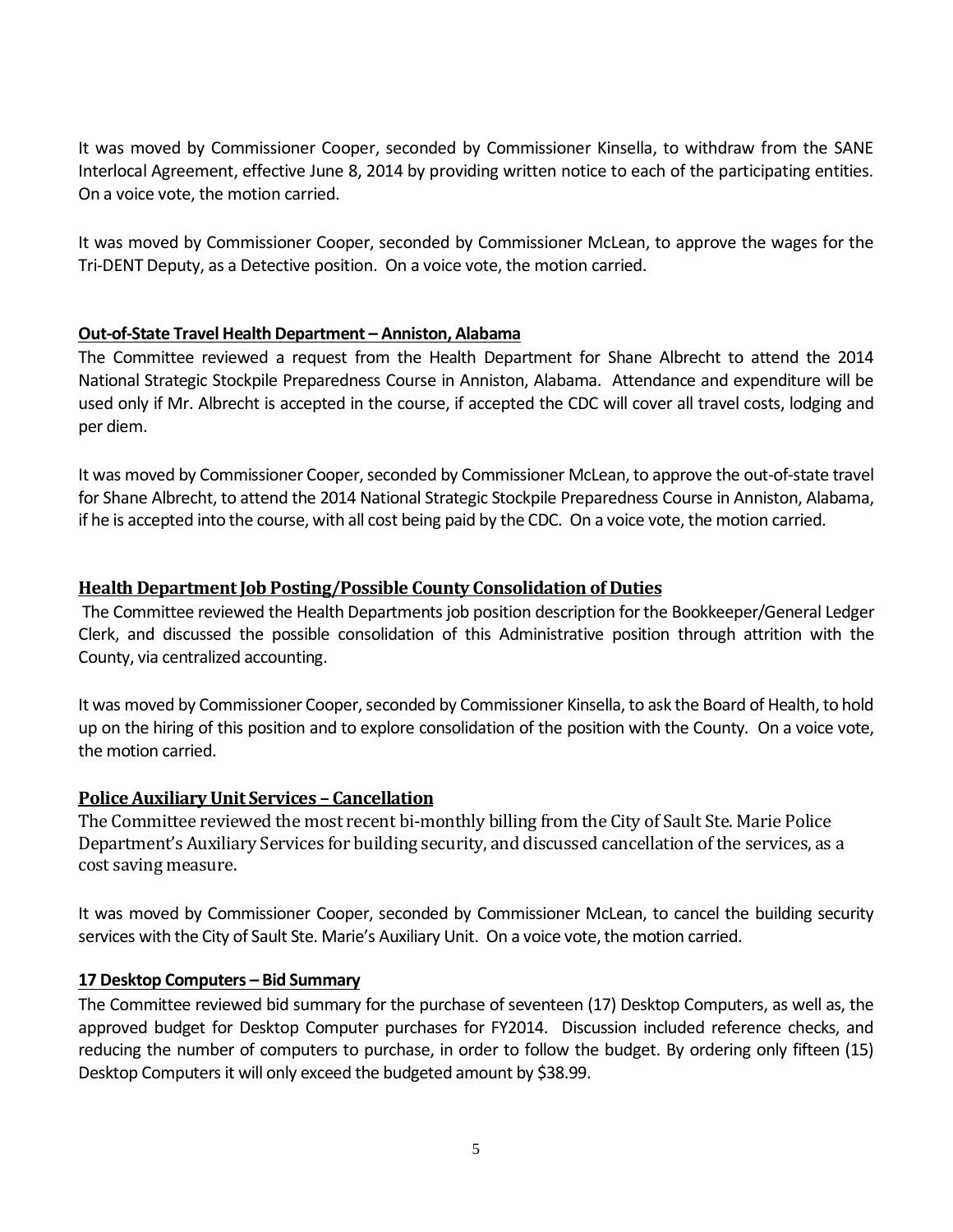It was moved by Commissioner Cooper, seconded by Commissioner Kinsella, to withdraw from the SANE Interlocal Agreement, effective June 8, 2014 by providing written notice to each of the participating entities. On a voice vote, the motion carried.

It was moved by Commissioner Cooper, seconded by Commissioner McLean, to approve the wages for the Tri-DENT Deputy, as a Detective position. On a voice vote, the motion carried.

### **Out-of-State Travel Health Department – Anniston, Alabama**

The Committee reviewed a request from the Health Department for Shane Albrecht to attend the 2014 National Strategic Stockpile Preparedness Course in Anniston, Alabama. Attendance and expenditure will be used only if Mr. Albrecht is accepted in the course, if accepted the CDC will cover all travel costs, lodging and per diem.

It was moved by Commissioner Cooper, seconded by Commissioner McLean, to approve the out-of-state travel for Shane Albrecht, to attend the 2014 National Strategic Stockpile Preparedness Course in Anniston, Alabama, if he is accepted into the course, with all cost being paid by the CDC. On a voice vote, the motion carried.

### **Health Department Job Posting/Possible County Consolidation of Duties**

The Committee reviewed the Health Departments job position description for the Bookkeeper/General Ledger Clerk, and discussed the possible consolidation of this Administrative position through attrition with the County, via centralized accounting.

It was moved by Commissioner Cooper, seconded by Commissioner Kinsella, to ask the Board of Health, to hold up on the hiring of this position and to explore consolidation of the position with the County. On a voice vote, the motion carried.

# **Police Auxiliary Unit Services – Cancellation**

The Committee reviewed the most recent bi-monthly billing from the City of Sault Ste. Marie Police Department's Auxiliary Services for building security, and discussed cancellation of the services, as a cost saving measure.

It was moved by Commissioner Cooper, seconded by Commissioner McLean, to cancel the building security services with the City of Sault Ste. Marie's Auxiliary Unit. On a voice vote, the motion carried.

#### **17 Desktop Computers – Bid Summary**

The Committee reviewed bid summary for the purchase of seventeen (17) Desktop Computers, as well as, the approved budget for Desktop Computer purchases for FY2014. Discussion included reference checks, and reducing the number of computers to purchase, in order to follow the budget. By ordering only fifteen (15) Desktop Computers it will only exceed the budgeted amount by \$38.99.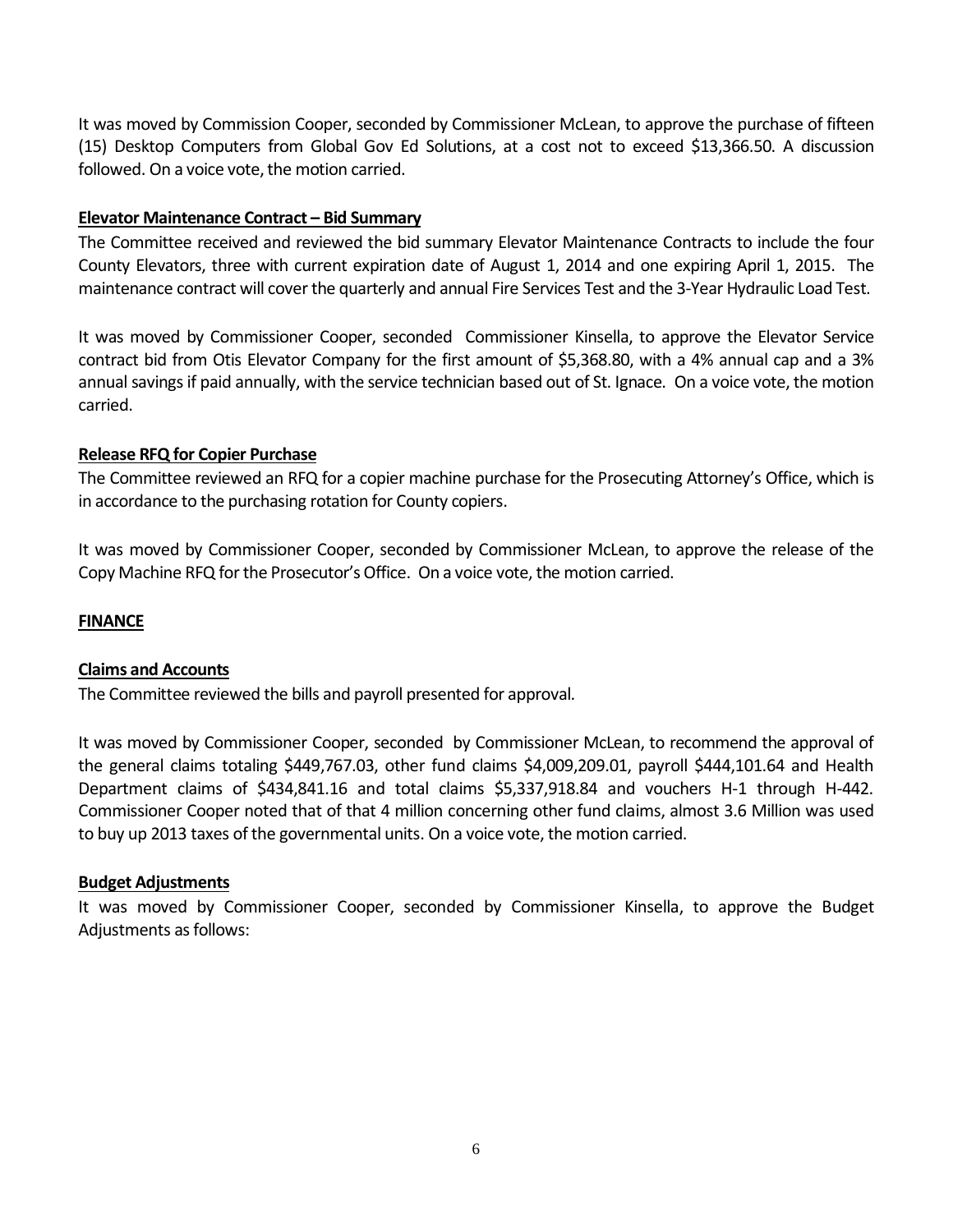It was moved by Commission Cooper, seconded by Commissioner McLean, to approve the purchase of fifteen (15) Desktop Computers from Global Gov Ed Solutions, at a cost not to exceed \$13,366.50. A discussion followed. On a voice vote, the motion carried.

#### **Elevator Maintenance Contract – Bid Summary**

The Committee received and reviewed the bid summary Elevator Maintenance Contracts to include the four County Elevators, three with current expiration date of August 1, 2014 and one expiring April 1, 2015. The maintenance contract will cover the quarterly and annual Fire Services Test and the 3-Year Hydraulic Load Test.

It was moved by Commissioner Cooper, seconded Commissioner Kinsella, to approve the Elevator Service contract bid from Otis Elevator Company for the first amount of \$5,368.80, with a 4% annual cap and a 3% annual savings if paid annually, with the service technician based out of St. Ignace. On a voice vote, the motion carried.

### **Release RFQ for Copier Purchase**

The Committee reviewed an RFQ for a copier machine purchase for the Prosecuting Attorney's Office, which is in accordance to the purchasing rotation for County copiers.

It was moved by Commissioner Cooper, seconded by Commissioner McLean, to approve the release of the Copy Machine RFQ for the Prosecutor's Office. On a voice vote, the motion carried.

#### **FINANCE**

#### **Claims and Accounts**

The Committee reviewed the bills and payroll presented for approval.

It was moved by Commissioner Cooper, seconded by Commissioner McLean, to recommend the approval of the general claims totaling \$449,767.03, other fund claims \$4,009,209.01, payroll \$444,101.64 and Health Department claims of \$434,841.16 and total claims \$5,337,918.84 and vouchers H-1 through H-442. Commissioner Cooper noted that of that 4 million concerning other fund claims, almost 3.6 Million was used to buy up 2013 taxes of the governmental units. On a voice vote, the motion carried.

#### **Budget Adjustments**

It was moved by Commissioner Cooper, seconded by Commissioner Kinsella, to approve the Budget Adjustments as follows: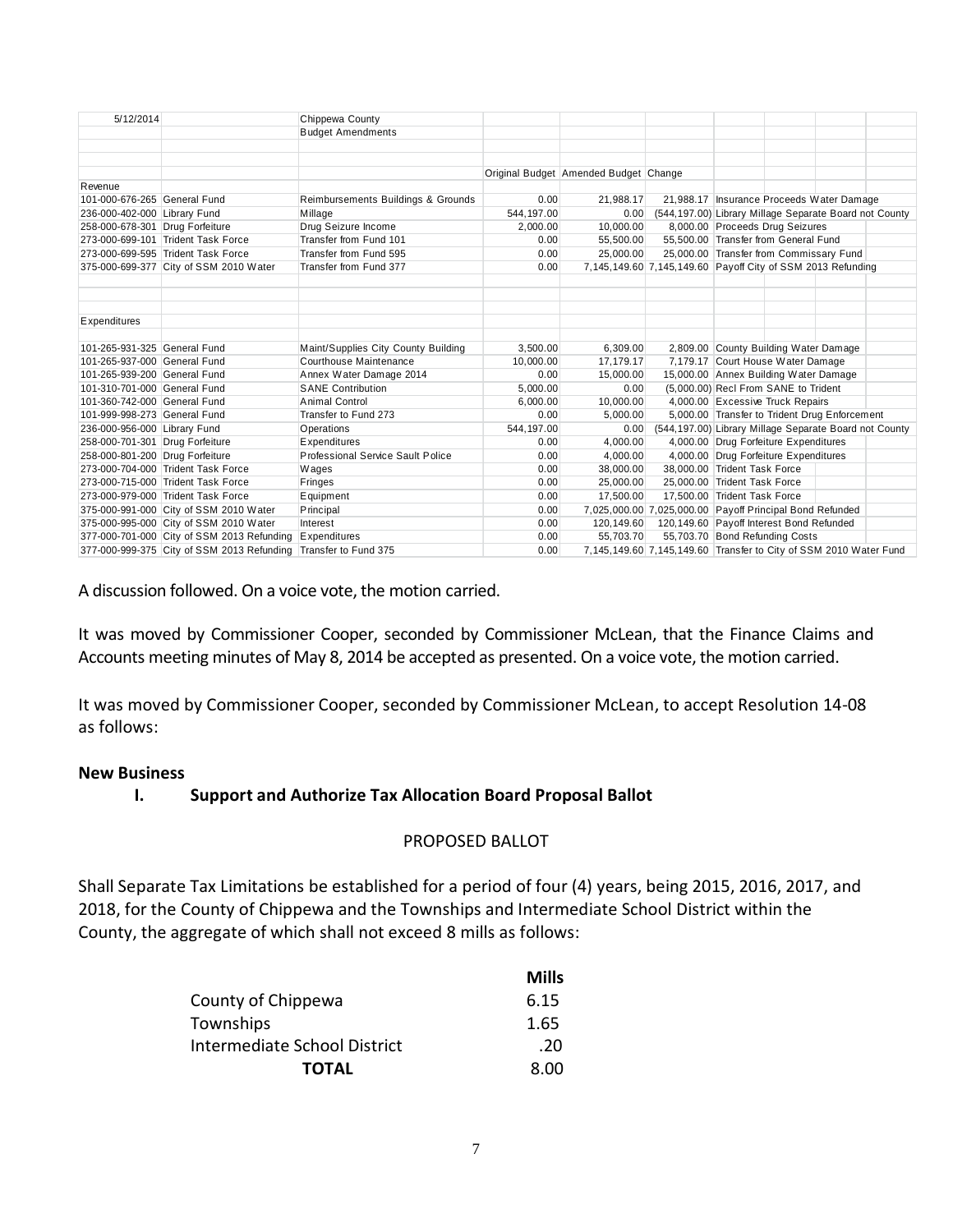| 5/12/2014                       |                                                                 | Chippewa County                     |             |                                       |                                                                   |                                                             |                                                        |  |  |
|---------------------------------|-----------------------------------------------------------------|-------------------------------------|-------------|---------------------------------------|-------------------------------------------------------------------|-------------------------------------------------------------|--------------------------------------------------------|--|--|
|                                 |                                                                 | <b>Budget Amendments</b>            |             |                                       |                                                                   |                                                             |                                                        |  |  |
|                                 |                                                                 |                                     |             |                                       |                                                                   |                                                             |                                                        |  |  |
|                                 |                                                                 |                                     |             |                                       |                                                                   |                                                             |                                                        |  |  |
|                                 |                                                                 |                                     |             | Original Budget Amended Budget Change |                                                                   |                                                             |                                                        |  |  |
| Revenue                         |                                                                 |                                     |             |                                       |                                                                   |                                                             |                                                        |  |  |
| 101-000-676-265 General Fund    |                                                                 | Reimbursements Buildings & Grounds  | 0.00        | 21,988.17                             |                                                                   | 21,988.17 Insurance Proceeds Water Damage                   |                                                        |  |  |
| 236-000-402-000 Library Fund    |                                                                 | Millage                             | 544, 197.00 | 0.00                                  |                                                                   | (544,197.00) Library Millage Separate Board not County      |                                                        |  |  |
| 258-000-678-301 Drug Forfeiture |                                                                 | Drug Seizure Income                 | 2,000.00    | 10,000.00                             |                                                                   | 8,000.00 Proceeds Drug Seizures                             |                                                        |  |  |
|                                 | 273-000-699-101 Trident Task Force                              | Transfer from Fund 101              | 0.00        | 55.500.00                             |                                                                   | 55.500.00 Transfer from General Fund                        |                                                        |  |  |
|                                 | 273-000-699-595 Trident Task Force                              | Transfer from Fund 595              | 0.00        | 25,000.00                             |                                                                   | 25,000.00 Transfer from Commissary Fund                     |                                                        |  |  |
|                                 | 375-000-699-377 City of SSM 2010 Water                          | Transfer from Fund 377              | 0.00        |                                       |                                                                   | 7,145,149.60 7,145,149.60 Payoff City of SSM 2013 Refunding |                                                        |  |  |
|                                 |                                                                 |                                     |             |                                       |                                                                   |                                                             |                                                        |  |  |
|                                 |                                                                 |                                     |             |                                       |                                                                   |                                                             |                                                        |  |  |
|                                 |                                                                 |                                     |             |                                       |                                                                   |                                                             |                                                        |  |  |
| <b>Expenditures</b>             |                                                                 |                                     |             |                                       |                                                                   |                                                             |                                                        |  |  |
|                                 |                                                                 |                                     |             |                                       |                                                                   |                                                             |                                                        |  |  |
| 101-265-931-325 General Fund    |                                                                 | Maint/Supplies City County Building | 3,500.00    | 6,309.00                              |                                                                   |                                                             | 2,809.00 County Building Water Damage                  |  |  |
| 101-265-937-000 General Fund    |                                                                 | Courthouse Maintenance              | 10,000.00   | 17,179.17                             |                                                                   | 7,179.17 Court House Water Damage                           |                                                        |  |  |
| 101-265-939-200 General Fund    |                                                                 | Annex Water Damage 2014             | 0.00        | 15,000.00                             |                                                                   |                                                             | 15,000.00 Annex Building Water Damage                  |  |  |
| 101-310-701-000 General Fund    |                                                                 | <b>SANE Contribution</b>            | 5,000.00    | 0.00                                  |                                                                   |                                                             | (5,000.00) Recl From SANE to Trident                   |  |  |
| 101-360-742-000 General Fund    |                                                                 | Animal Control                      | 6,000.00    | 10,000.00                             |                                                                   |                                                             | 4,000.00 Excessive Truck Repairs                       |  |  |
| 101-999-998-273 General Fund    |                                                                 | Transfer to Fund 273                | 0.00        | 5.000.00                              |                                                                   |                                                             | 5,000.00 Transfer to Trident Drug Enforcement          |  |  |
| 236-000-956-000 Library Fund    |                                                                 | Operations                          | 544.197.00  | 0.00                                  |                                                                   |                                                             | (544,197.00) Library Millage Separate Board not County |  |  |
| 258-000-701-301 Drug Forfeiture |                                                                 | <b>Expenditures</b>                 | 0.00        | 4,000.00                              |                                                                   |                                                             | 4,000.00 Drug Forfeiture Expenditures                  |  |  |
| 258-000-801-200 Drug Forfeiture |                                                                 | Professional Service Sault Police   | 0.00        | 4,000.00                              |                                                                   |                                                             | 4,000.00 Drug Forfeiture Expenditures                  |  |  |
|                                 | 273-000-704-000 Trident Task Force                              | Wages                               | 0.00        | 38,000.00                             | 38,000.00 Trident Task Force                                      |                                                             |                                                        |  |  |
|                                 | 273-000-715-000 Trident Task Force                              | <b>Fringes</b>                      | 0.00        | 25,000.00                             |                                                                   | 25,000.00 Trident Task Force                                |                                                        |  |  |
|                                 | 273-000-979-000 Trident Task Force                              | <b>E</b> quipment                   | 0.00        | 17.500.00                             |                                                                   | 17.500.00 Trident Task Force                                |                                                        |  |  |
|                                 | 375-000-991-000 City of SSM 2010 Water                          | Principal                           | 0.00        |                                       | 7,025,000.00 7,025,000.00 Payoff Principal Bond Refunded          |                                                             |                                                        |  |  |
|                                 | 375-000-995-000 City of SSM 2010 Water                          | Interest                            | 0.00        | 120,149.60                            |                                                                   |                                                             | 120,149.60 Payoff Interest Bond Refunded               |  |  |
|                                 | 377-000-701-000 City of SSM 2013 Refunding                      | <b>Expenditures</b>                 | 0.00        | 55,703.70                             |                                                                   |                                                             | 55,703.70 Bond Refunding Costs                         |  |  |
|                                 | 377-000-999-375 City of SSM 2013 Refunding Transfer to Fund 375 |                                     | 0.00        |                                       | 7,145,149.60 7,145,149.60 Transfer to City of SSM 2010 Water Fund |                                                             |                                                        |  |  |

A discussion followed. On a voice vote, the motion carried.

It was moved by Commissioner Cooper, seconded by Commissioner McLean, that the Finance Claims and Accounts meeting minutes of May 8, 2014 be accepted as presented. On a voice vote, the motion carried.

It was moved by Commissioner Cooper, seconded by Commissioner McLean, to accept Resolution 14-08 as follows:

#### **New Business**

#### **I. Support and Authorize Tax Allocation Board Proposal Ballot**

#### PROPOSED BALLOT

Shall Separate Tax Limitations be established for a period of four (4) years, being 2015, 2016, 2017, and 2018, for the County of Chippewa and the Townships and Intermediate School District within the County, the aggregate of which shall not exceed 8 mills as follows:

|                              | <b>Mills</b> |
|------------------------------|--------------|
| County of Chippewa           | 6.15         |
| Townships                    | 1.65         |
| Intermediate School District | .20          |
| <b>TOTAL</b>                 | 8.00         |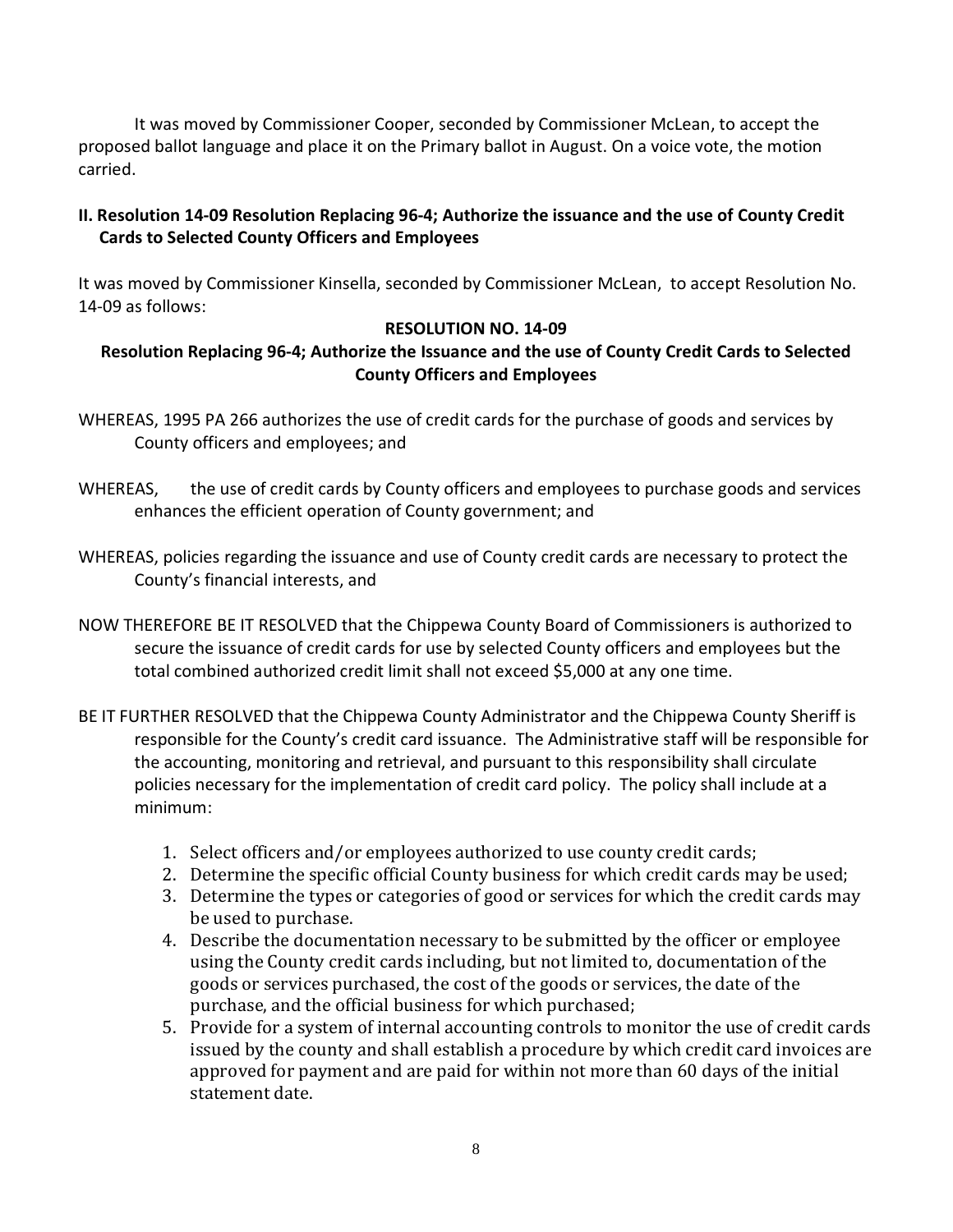It was moved by Commissioner Cooper, seconded by Commissioner McLean, to accept the proposed ballot language and place it on the Primary ballot in August. On a voice vote, the motion carried.

# **II. Resolution 14-09 Resolution Replacing 96-4; Authorize the issuance and the use of County Credit Cards to Selected County Officers and Employees**

It was moved by Commissioner Kinsella, seconded by Commissioner McLean, to accept Resolution No. 14-09 as follows:

# **RESOLUTION NO. 14-09**

# **Resolution Replacing 96-4; Authorize the Issuance and the use of County Credit Cards to Selected County Officers and Employees**

- WHEREAS, 1995 PA 266 authorizes the use of credit cards for the purchase of goods and services by County officers and employees; and
- WHEREAS, the use of credit cards by County officers and employees to purchase goods and services enhances the efficient operation of County government; and
- WHEREAS, policies regarding the issuance and use of County credit cards are necessary to protect the County's financial interests, and
- NOW THEREFORE BE IT RESOLVED that the Chippewa County Board of Commissioners is authorized to secure the issuance of credit cards for use by selected County officers and employees but the total combined authorized credit limit shall not exceed \$5,000 at any one time.
- BE IT FURTHER RESOLVED that the Chippewa County Administrator and the Chippewa County Sheriff is responsible for the County's credit card issuance. The Administrative staff will be responsible for the accounting, monitoring and retrieval, and pursuant to this responsibility shall circulate policies necessary for the implementation of credit card policy. The policy shall include at a minimum:
	- 1. Select officers and/or employees authorized to use county credit cards;
	- 2. Determine the specific official County business for which credit cards may be used;
	- 3. Determine the types or categories of good or services for which the credit cards may be used to purchase.
	- 4. Describe the documentation necessary to be submitted by the officer or employee using the County credit cards including, but not limited to, documentation of the goods or services purchased, the cost of the goods or services, the date of the purchase, and the official business for which purchased;
	- 5. Provide for a system of internal accounting controls to monitor the use of credit cards issued by the county and shall establish a procedure by which credit card invoices are approved for payment and are paid for within not more than 60 days of the initial statement date.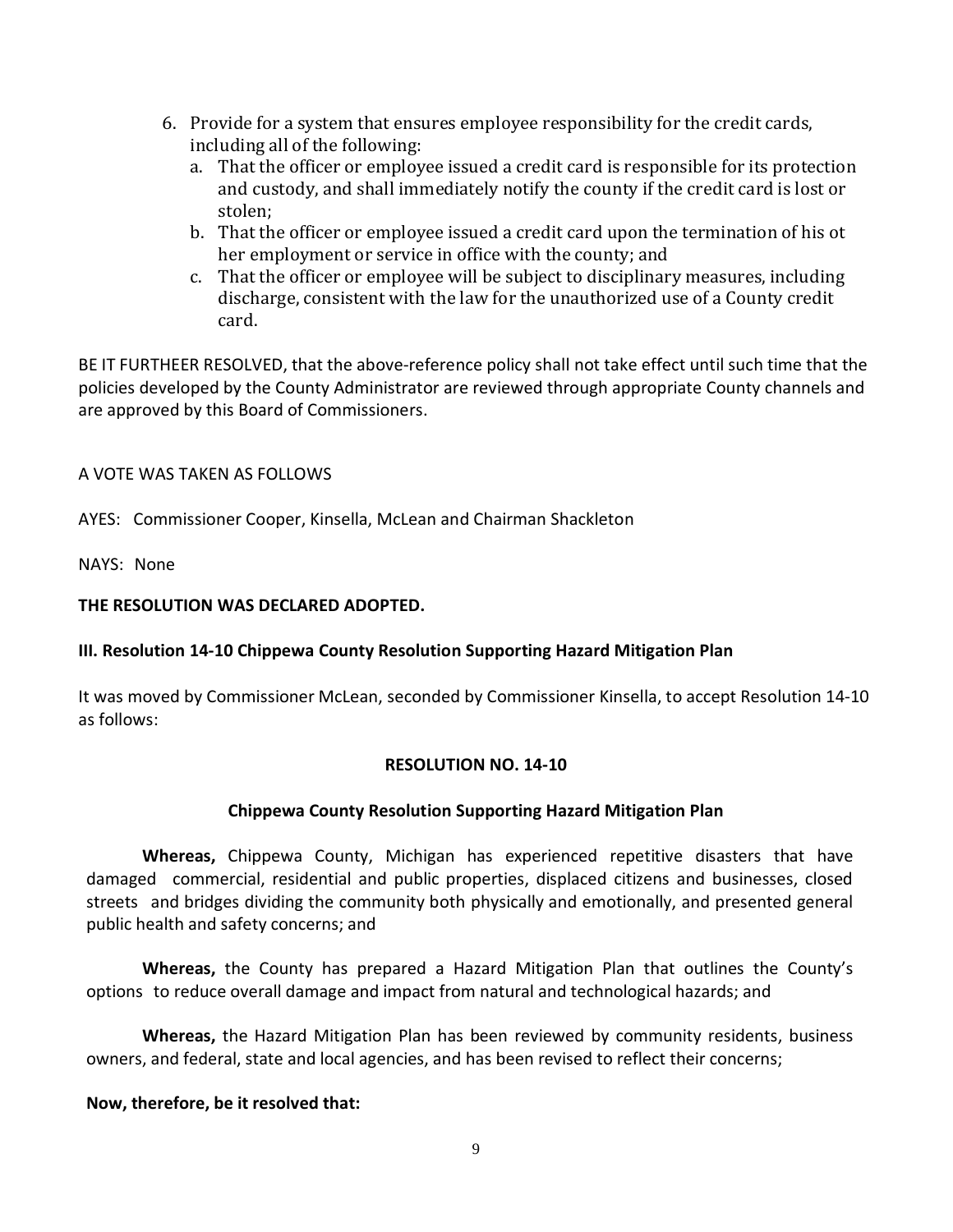- 6. Provide for a system that ensures employee responsibility for the credit cards, including all of the following:
	- a. That the officer or employee issued a credit card is responsible for its protection and custody, and shall immediately notify the county if the credit card is lost or stolen;
	- b. That the officer or employee issued a credit card upon the termination of his ot her employment or service in office with the county; and
	- c. That the officer or employee will be subject to disciplinary measures, including discharge, consistent with the law for the unauthorized use of a County credit card.

BE IT FURTHEER RESOLVED, that the above-reference policy shall not take effect until such time that the policies developed by the County Administrator are reviewed through appropriate County channels and are approved by this Board of Commissioners.

#### A VOTE WAS TAKEN AS FOLLOWS

AYES: Commissioner Cooper, Kinsella, McLean and Chairman Shackleton

NAYS: None

### **THE RESOLUTION WAS DECLARED ADOPTED.**

# **III. Resolution 14-10 Chippewa County Resolution Supporting Hazard Mitigation Plan**

It was moved by Commissioner McLean, seconded by Commissioner Kinsella, to accept Resolution 14-10 as follows:

#### **RESOLUTION NO. 14-10**

# **Chippewa County Resolution Supporting Hazard Mitigation Plan**

**Whereas,** Chippewa County, Michigan has experienced repetitive disasters that have damaged commercial, residential and public properties, displaced citizens and businesses, closed streets and bridges dividing the community both physically and emotionally, and presented general public health and safety concerns; and

**Whereas,** the County has prepared a Hazard Mitigation Plan that outlines the County's options to reduce overall damage and impact from natural and technological hazards; and

**Whereas,** the Hazard Mitigation Plan has been reviewed by community residents, business owners, and federal, state and local agencies, and has been revised to reflect their concerns;

#### **Now, therefore, be it resolved that:**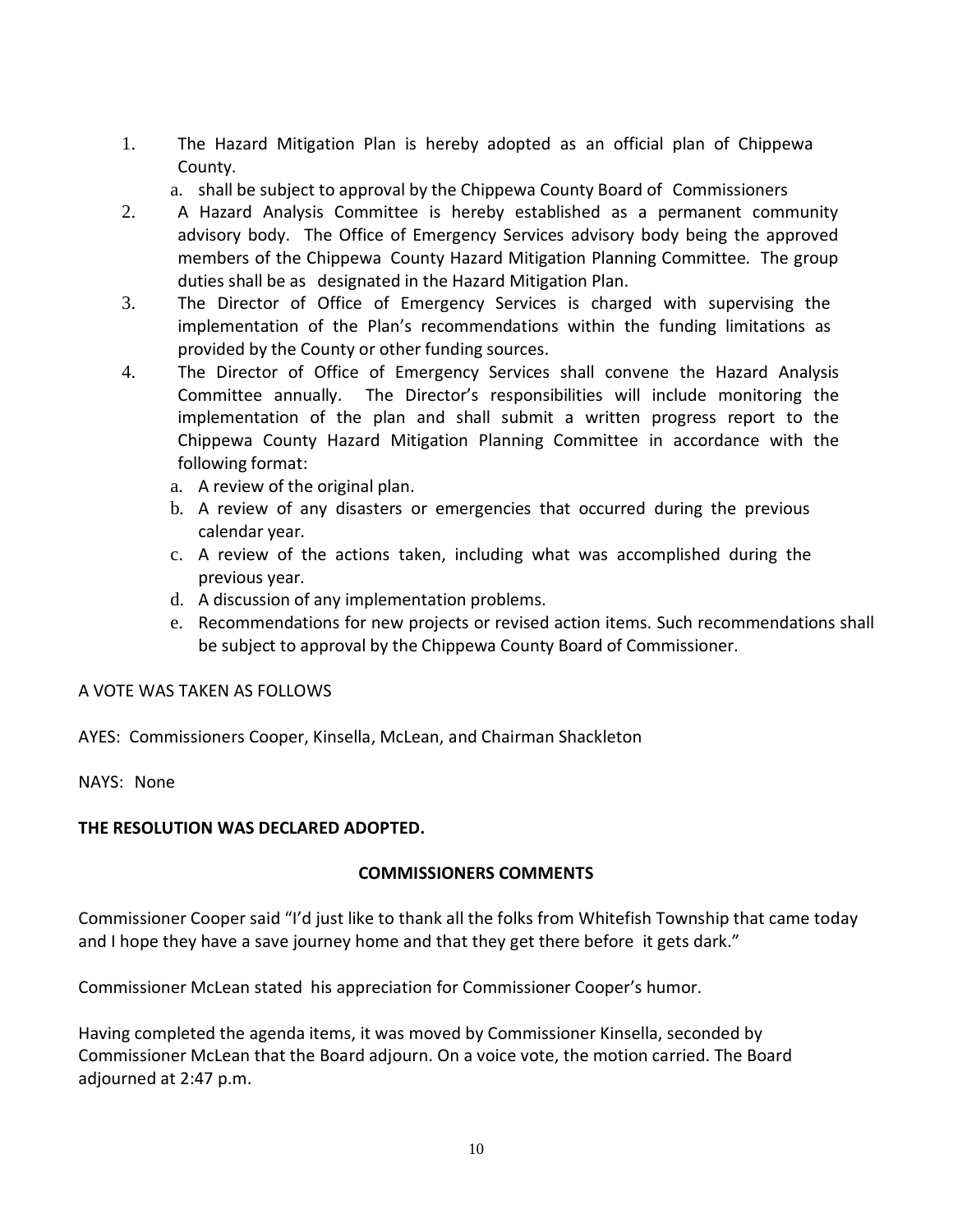- 1. The Hazard Mitigation Plan is hereby adopted as an official plan of Chippewa County.
	- a. shall be subject to approval by the Chippewa County Board of Commissioners
- 2. A Hazard Analysis Committee is hereby established as a permanent community advisory body. The Office of Emergency Services advisory body being the approved members of the Chippewa County Hazard Mitigation Planning Committee. The group duties shall be as designated in the Hazard Mitigation Plan.
- 3. The Director of Office of Emergency Services is charged with supervising the implementation of the Plan's recommendations within the funding limitations as provided by the County or other funding sources.
- 4. The Director of Office of Emergency Services shall convene the Hazard Analysis Committee annually. The Director's responsibilities will include monitoring the implementation of the plan and shall submit a written progress report to the Chippewa County Hazard Mitigation Planning Committee in accordance with the following format:
	- a. A review of the original plan.
	- b. A review of any disasters or emergencies that occurred during the previous calendar year.
	- c. A review of the actions taken, including what was accomplished during the previous year.
	- d. A discussion of any implementation problems.
	- e. Recommendations for new projects or revised action items. Such recommendations shall be subject to approval by the Chippewa County Board of Commissioner.

#### A VOTE WAS TAKEN AS FOLLOWS

AYES: Commissioners Cooper, Kinsella, McLean, and Chairman Shackleton

NAYS: None

#### **THE RESOLUTION WAS DECLARED ADOPTED.**

#### **COMMISSIONERS COMMENTS**

Commissioner Cooper said "I'd just like to thank all the folks from Whitefish Township that came today and I hope they have a save journey home and that they get there before it gets dark."

Commissioner McLean stated his appreciation for Commissioner Cooper's humor.

Having completed the agenda items, it was moved by Commissioner Kinsella, seconded by Commissioner McLean that the Board adjourn. On a voice vote, the motion carried. The Board adjourned at 2:47 p.m.